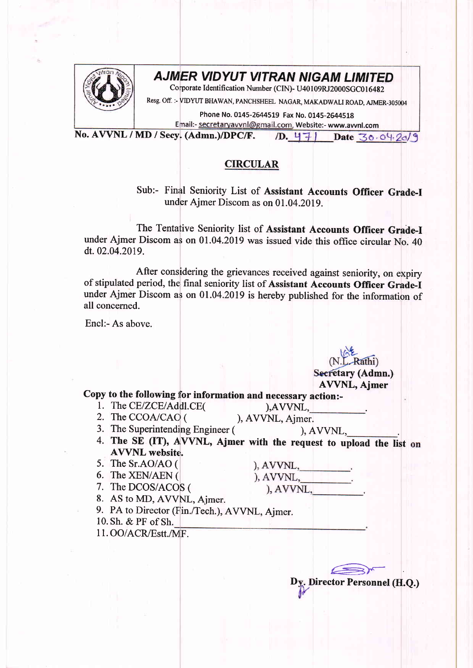

## AJM]ER VIDYUT VITRAN NIGAM LIMITED

Corporate Identification Number (CIN)- U40109RJ2000SGC016482

Resg. off. :- VIDYUT BHAWAN, PANCHSHEEL NAGAR, MAKADWALI ROAD, AJMER-305004

Phone No. 0145-2644519 Fax No. 0145-2644518 Email:- secretaryavvnl@gmail.com, Website:- www.avvnl.com

No. AWNL / MD / Secy. (Admn.)/DPC/F.  $/D. 47$  Date 30.04.20/9

## CIRCULAR

Sub:- Final Seniority List of Assistant Accounts Officer Grade-I under Ajmer Discom as on 01.04.2019.

The Tentative Seniority list of Assistant Accounts Officer Grade.I under Ajmer Discom as on 01.04.2019 was issued vide this office circular No. 40 dt.02.04.2019.

After considering the grievances received against seniority, on expiry of stipulated period, the final seniority list of Assistant Accounts Officer Grade-I under Ajmer Discom as on 01.04.2019 is hereby published for the information of all concerned.

Encl:- As above.

AVVNL, Ajmer Secretary (Admn.)

## Copy to the following for information and necessary action:-

1. The CE/ZCE/Addl.CE(
(a),AVVNL, 2. The CCOA/CAO (), AVVNL, Ajmer.

3. The Superintending Engineer (

 $AVVNL$ ,

 $(AVVNL,$ <br> $(AVVNL,$ 

- 4. The SE (IT), AVVNL, Ajmer with the request to upload the list on AVVNL website.  $), AVVNL,$
- 5. The Sr.AO/AO (
- 6. The XEN/AEN (
- 7. The DCOS/ACOS (
- 8. AS to MD, AWNL, Aimer.
- 
- 9. PA to Director (Fin./Tech.), AVVNL, Ajmer.
- 10. Sh. & PF of Sh.

11. OO/ACR/Estt./MF.

Dy. Director Personnel (H.Q.)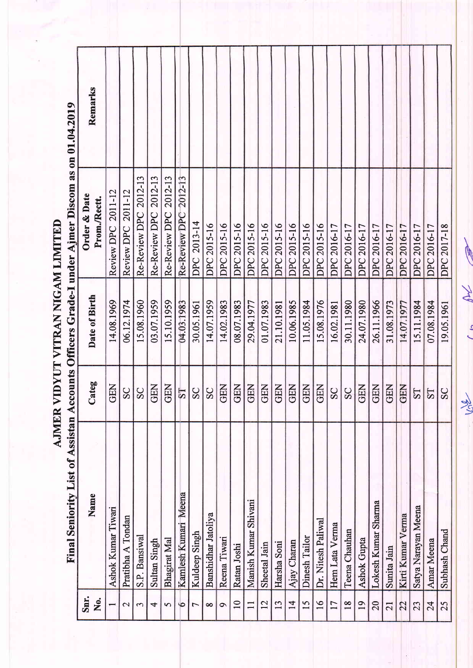|                 | Final Seniority List of Assistan | ∢                     |               | ccounts Officers Grade-I under Ajmer Discom as on 01.04.2019 |         |
|-----------------|----------------------------------|-----------------------|---------------|--------------------------------------------------------------|---------|
| Snr.<br>No.     | Name                             | Categ                 | Date of Birth | Order & Date<br>Prom./Rectt.                                 | Remarks |
|                 | Ashok Kumar Tiwari               | <b>GEN</b>            | 14.08.1969    | Review DPC 2011-12                                           |         |
| $\mathcal{C}$   | Pratibha A Tondan                | SC                    | 06.12.1974    | Review DPC 2011-12                                           |         |
| S               | S.P. Bansiwal                    | SC                    | 15.08.1960    | Re-Review DPC 2012-13                                        |         |
| 4               | Sultan Singh                     | <b>GEN</b>            | 03.07.1959    | Re-Review DPC 2012-13                                        |         |
| 5               | Bhagirat Mal                     | <b>GEN</b>            | 15.10.1959    | Re-Review DPC 2012-13                                        |         |
| $\tilde{Q}$     | Meena<br>Kamlesh Kumari          | $\overline{\text{S}}$ | 04.03.1983    | Re-Review DPC 2012-13                                        |         |
| 7               | Kuldeep Singh                    | SC                    | 30.05.1961    | DPC 2013-14                                                  |         |
| ∞               | Banshidhar Jatoliya              | SC                    | 14.07.1959    | DPC 2015-16                                                  |         |
| $\circ$         | Reena Tiwari                     | <b>GEN</b>            | 14.02.1983    | DPC 2015-16                                                  |         |
| $\overline{10}$ | Ratan Joshi                      | <b>GEN</b>            | 08.07.1983    | DPC 2015-16                                                  |         |
|                 | Manish Kumar Shivani             | <b>GEN</b>            | 29.04.1977    | DPC 2015-16                                                  |         |
| 12              | Sheetal Jain                     | <b>GEN</b>            | 01.07.1983    | DPC 2015-16                                                  |         |
| 13              | Harsha Soni                      | <b>GEN</b>            | 21.10.1981    | DPC 2015-16                                                  |         |
| $\overline{1}$  | Ajay Charan                      | <b>GEN</b>            | 10.06.1985    | DPC 2015-16                                                  |         |
| 15              | Dinesh Tailor                    | <b>GEN</b>            | 11.05.1984    | DPC 2015-16                                                  |         |
| 16              | Dr. Nitesh Paliwal               | <b>GEN</b>            | 15.08.1976    | DPC 2015-16                                                  |         |
| $\overline{17}$ | Hem Lata Verma                   | SC                    | 16.02.1981    | DPC 2016-17                                                  |         |
| $\overline{18}$ | Teena Chauhan                    | SC                    | 30.11.1980    | DPC 2016-17                                                  |         |
| 19              | <b>Ashok Gupta</b>               | <b>GEN</b>            | 24.07.1980    | DPC 2016-17                                                  |         |
| 20              | Lokesh Kumar Sharma              | <b>GEN</b>            | 26.11.1966    | DPC 2016-17                                                  |         |
| 21              | Sunita Jain                      | <b>GEN</b>            | 31.08.1973    | DPC 2016-17                                                  |         |
| 22              | Kirti Kumar Verma                | <b>GEN</b>            | 14.07.1977    | DPC 2016-17                                                  |         |
| 23              | Satya Narayan Meena              | <b>ST</b>             | 15.11.1984    | DPC 2016-17                                                  |         |
| 24              | <b>Amar Meena</b>                | <b>LS</b>             | 07.08.1984    | DPC 2016-17                                                  |         |
| 25              | Subhash Chand                    | SC                    | 19.05.1961    | DPC 2017-18                                                  |         |
|                 |                                  |                       |               |                                                              |         |

AJMER VIDYUT VITRAN NIGAM LIMITED

Tyl  $\frac{1}{2}$ 

Jene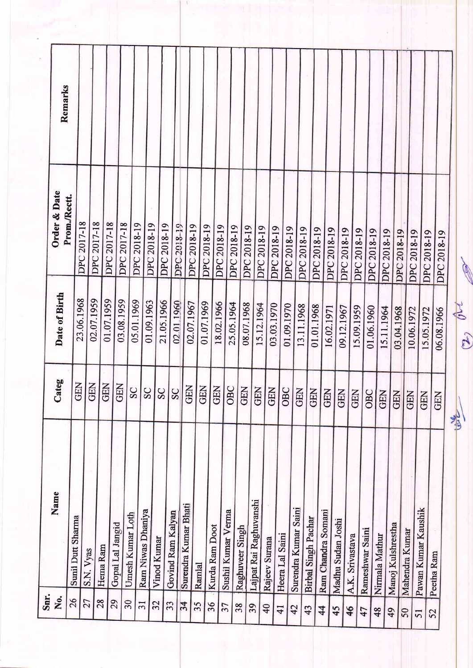| Sunil Dutt Sharma<br>S.N. Vyas |                 | Date of Birth | Prom./Rectt.       | Remarks |
|--------------------------------|-----------------|---------------|--------------------|---------|
|                                | <b>GEN</b>      | 23.06.1968    | <b>DPC 2017-18</b> |         |
|                                | <b>GEN</b>      | 02.07.1959    | <b>DPC 2017-18</b> |         |
| Hema Ram                       | <b>GEN</b>      | 01.07.1959    | DPC 2017-18        |         |
| Gopal Lal Jangid               | <b>GEN</b>      | 03.08.1959    | DPC 2017-18        |         |
| Umesh Kumar Loth               |                 | 05.01.1969    | DPC 2018-19        |         |
| Ram Niwas Dhaniya              |                 | 01.09.1963    | DPC 2018-19        |         |
| Vinod Kumar                    | $\frac{28}{28}$ | 21.05.1966    | DPC 2018-19        |         |
| Govind Ram Kalyan              | SC              | 02.01.1960    | DPC 2018-19        |         |
| Surendra Kumar Bhati           |                 | 02.07.1967    | DPC 2018-19        |         |
|                                | 图面              | 01.07.1969    | DPC 2018-19        |         |
| Kurda Ram Doot                 | GEN             | 18.02.1966    | DPC 2018-19        |         |
| Sushil Kumar Verma             | OBC             | 25.05.1964    | DPC 2018-19        |         |
| Raghuveer Singh                | GEN             | 08.07.1968    | DPC 2018-19        |         |
| Lajpat Rai Raghuvanshi         | <b>GEN</b>      | 15.12.1964    | DPC 2018-19        |         |
| Rajeev Surana                  | <b>REN</b>      | 03.03.1970    | DPC 2018-19        |         |
| Heera Lal Saini                | OBC             | 01.09.1970    | DPC 2018-19        |         |
| Surendra Kumar Saini           | GEN             | 13.11.1968    | DPC 2018-19        |         |
| Birbal Singh Pachar            | <b>GEN</b>      | 01.01.1968    | DPC 2018-19        |         |
| Ram Chandra Somani             | <b>GEN</b>      | 16.02.1971    | DPC 2018-19        |         |
| Madhu Sudan Joshi              | <b>GEN</b>      | 09.12.1967    | <b>DPC 2018-19</b> |         |
| A.K. Srivastava                | <b>GEN</b>      | 15.09.1959    | DPC 2018-19        |         |
| Rameshwar Saini                | OBC             | 01.06.1960    | DPC 2018-19        |         |
| Nirmala Mathur                 | <b>GEN</b>      | 15.11.1964    | DPC 2018-19        |         |
| Manoj Kulshrestha              | <b>GEN</b>      | 03.04.1968    | DPC 2018-19        |         |
| Mahendra Kumar                 | <b>GEN</b>      | 10.06.1972    | DPC 2018-19        |         |
| Pawan Kumar Kaushik            | <b>GEN</b>      | 15.05.1972    | DPC 2018-19        |         |
| Peetha Ram                     | <b>GEN</b>      | 06.08.1966    | DPC 2018-19        |         |